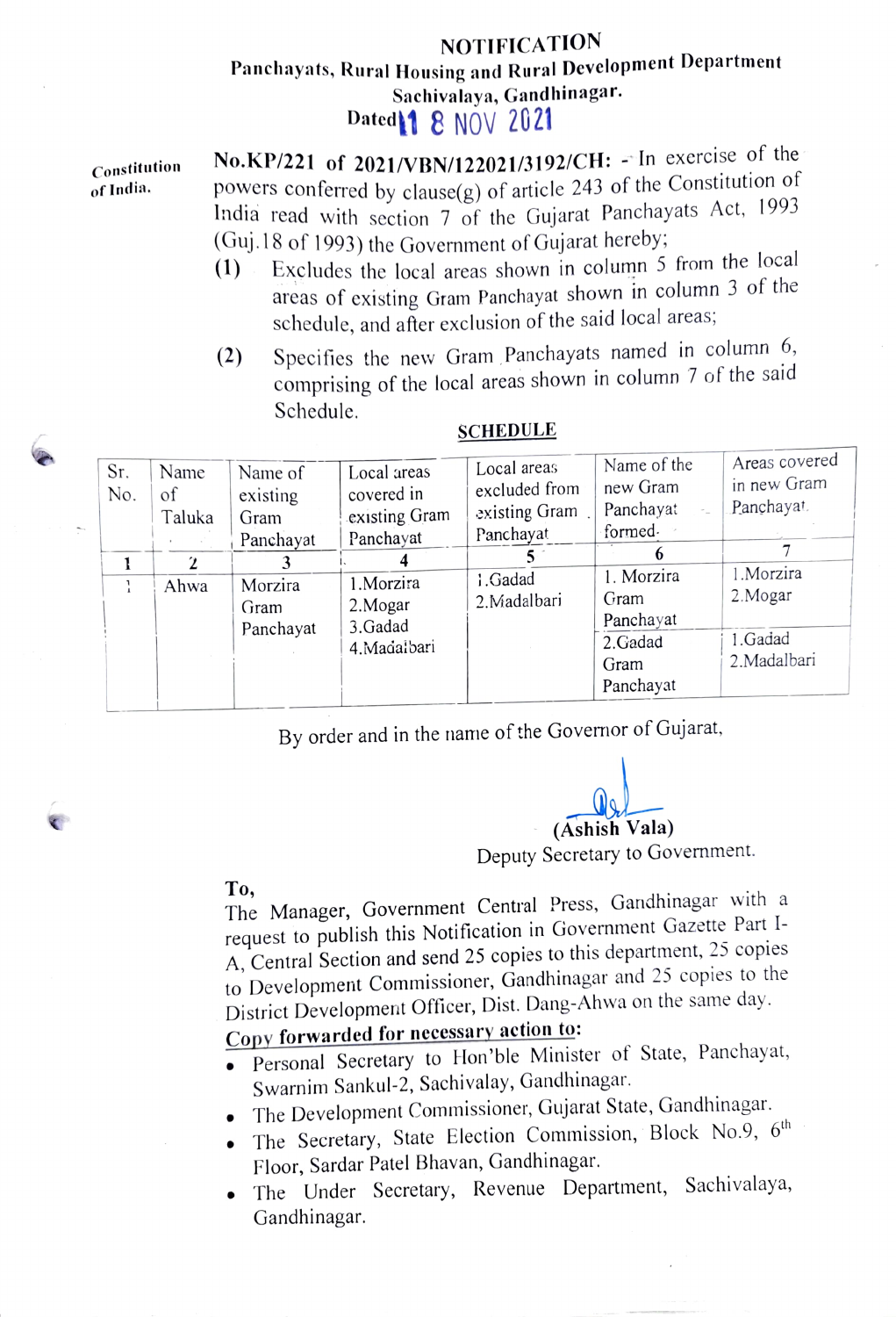## NOTIFICATION Panehayats, Rural Housing and Rural Development Department Sachivalaya, Gandhinagar. Dated**11 8 NOV 2021**

| Constitution<br>of India. | No.KP/221 of 2021/VBN/122021/3192/CH: $-\ln$ exercise of the<br>powers conferred by clause $(g)$ of article 243 of the Constitution of<br>India read with section 7 of the Gujarat Panchayats Act, 1993 |
|---------------------------|---------------------------------------------------------------------------------------------------------------------------------------------------------------------------------------------------------|
|                           | (Guj. 18 of 1993) the Government of Gujarat hereby;                                                                                                                                                     |
|                           | $(1)$ Evaluated 1.1 to the share in column 5 from the local                                                                                                                                             |

- (1) Excludes the local areas shown in column  $\frac{5}{2}$ areas of existing Gram Panchayat shown in column 3 of the schedule, and after exclusion of the said local areas
- (2) Specifies the new Gram Panchayats named in column 6, comprising of the local areas shown in column 7 of the said Schedule.

| Sr.<br>No.<br>ŀ | Name<br>of<br>Taluka<br>Ahwa | Name of<br>existing<br>Gram<br>Panchayat<br>3<br>Morzira<br>Gram<br>Panchayat | Local areas<br>covered in<br>existing Gram<br>Panchayat<br>1.Morzira<br>2. Mogar<br>3.Gadad<br>4. Madalbari | Local areas<br>excluded from<br>existing Gram.<br>Panchayat<br>1.Gadad<br>2.Madalbari | Name of the<br>new Gram<br>Panchayat<br>formed.<br>1. Morzira<br>Gram<br>Panchayat<br>2.Gadad<br>Gram<br>Panchayat | Areas covered<br>in new Gram<br>Panchayat.<br>1.Morzira<br>2. Mogar<br>1.Gadad<br>2.Madalbari |
|-----------------|------------------------------|-------------------------------------------------------------------------------|-------------------------------------------------------------------------------------------------------------|---------------------------------------------------------------------------------------|--------------------------------------------------------------------------------------------------------------------|-----------------------------------------------------------------------------------------------|
|-----------------|------------------------------|-------------------------------------------------------------------------------|-------------------------------------------------------------------------------------------------------------|---------------------------------------------------------------------------------------|--------------------------------------------------------------------------------------------------------------------|-----------------------------------------------------------------------------------------------|

## **SCHEDULE**

By order and in the name of the Govemor of Gujarat,

(Ashish Vala)

Deputy Secretary to Government.

**SECTION** 

To, The Manager, Government Central Press, Gandhinagar with a request to publish this Notification in Government Gazette Part I-A, Central Section and send 25 copies to this department, 25 copies to Development Commissioner, Gandhinagar and 25 copies to the District Development Officer, Dist. Dang-Ahwa on the same day.<br>Copy forwarded for necessary action to:

- Personal Secretary to Hon'ble Minister of State, Panchayat, Swarnim Sankul-2, Sachivalay, Gandhinagar.
- . The Development Commissioner, Gujarat State, Gandhinagar.
- The Secretary, State Election Commission, Block No.9,  $6<sup>th</sup>$ Floor, Sardar Patel Bhavan, Gandhinagar.
- . The Under Secretary, Revenue Department, Sachivalaya, Gandhinagar.